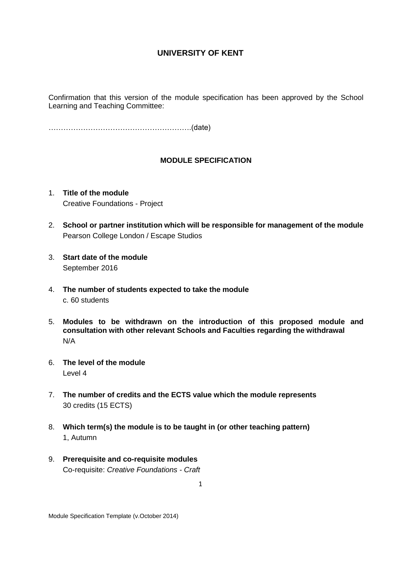Confirmation that this version of the module specification has been approved by the School Learning and Teaching Committee:

………………………………………………….(date)

### **MODULE SPECIFICATION**

- 1. **Title of the module** Creative Foundations - Project
- 2. **School or partner institution which will be responsible for management of the module** Pearson College London / Escape Studios
- 3. **Start date of the module** September 2016
- 4. **The number of students expected to take the module** c. 60 students
- 5. **Modules to be withdrawn on the introduction of this proposed module and consultation with other relevant Schools and Faculties regarding the withdrawal** N/A
- 6. **The level of the module**  Level 4
- 7. **The number of credits and the ECTS value which the module represents**  30 credits (15 ECTS)
- 8. **Which term(s) the module is to be taught in (or other teaching pattern)** 1, Autumn
- 9. **Prerequisite and co-requisite modules** Co-requisite: *Creative Foundations - Craft*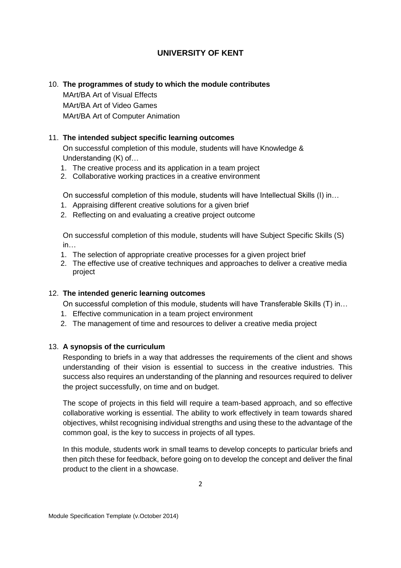# 10. **The programmes of study to which the module contributes**

MArt/BA Art of Visual Effects MArt/BA Art of Video Games MArt/BA Art of Computer Animation

### 11. **The intended subject specific learning outcomes**

On successful completion of this module, students will have Knowledge & Understanding (K) of…

- 1. The creative process and its application in a team project
- 2. Collaborative working practices in a creative environment

On successful completion of this module, students will have Intellectual Skills (I) in…

- 1. Appraising different creative solutions for a given brief
- 2. Reflecting on and evaluating a creative project outcome

On successful completion of this module, students will have Subject Specific Skills (S) in…

- 1. The selection of appropriate creative processes for a given project brief
- 2. The effective use of creative techniques and approaches to deliver a creative media project

## 12. **The intended generic learning outcomes**

On successful completion of this module, students will have Transferable Skills (T) in…

- 1. Effective communication in a team project environment
- 2. The management of time and resources to deliver a creative media project

## 13. **A synopsis of the curriculum**

Responding to briefs in a way that addresses the requirements of the client and shows understanding of their vision is essential to success in the creative industries. This success also requires an understanding of the planning and resources required to deliver the project successfully, on time and on budget.

The scope of projects in this field will require a team-based approach, and so effective collaborative working is essential. The ability to work effectively in team towards shared objectives, whilst recognising individual strengths and using these to the advantage of the common goal, is the key to success in projects of all types.

In this module, students work in small teams to develop concepts to particular briefs and then pitch these for feedback, before going on to develop the concept and deliver the final product to the client in a showcase.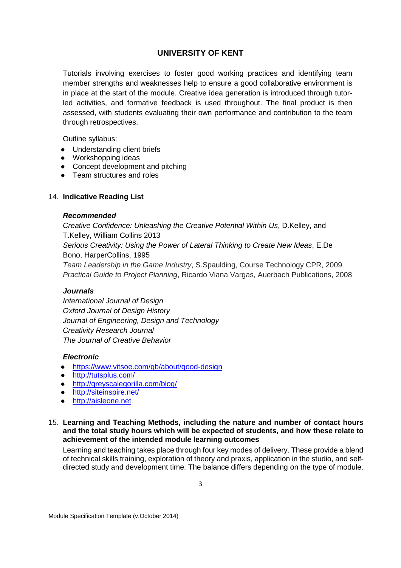Tutorials involving exercises to foster good working practices and identifying team member strengths and weaknesses help to ensure a good collaborative environment is in place at the start of the module. Creative idea generation is introduced through tutorled activities, and formative feedback is used throughout. The final product is then assessed, with students evaluating their own performance and contribution to the team through retrospectives.

Outline syllabus:

- Understanding client briefs
- Workshopping ideas
- Concept development and pitching
- Team structures and roles

### 14. **Indicative Reading List**

#### *Recommended*

*Creative Confidence: Unleashing the Creative Potential Within Us*, D.Kelley, and T.Kelley, William Collins 2013 *Serious Creativity: Using the Power of Lateral Thinking to Create New Ideas*, E.De Bono, HarperCollins, 1995 *Team Leadership in the Game Industry*, S.Spaulding, Course Technology CPR, 2009 *Practical Guide to Project Planning*, Ricardo Viana Vargas, Auerbach Publications, 2008

#### *Journals*

*International Journal of Design Oxford Journal of Design History Journal of Engineering, Design and Technology Creativity Research Journal The Journal of Creative Behavior*

#### *Electronic*

- <https://www.vitsoe.com/gb/about/good-design>
- <http://tutsplus.com/>
- <http://greyscalegorilla.com/blog/>
- [http://siteinspire.net/](http://www.siteinspire.com/)
- [http://aisleone.net](http://www.aisleone.net/)

### 15. **Learning and Teaching Methods, including the nature and number of contact hours and the total study hours which will be expected of students, and how these relate to achievement of the intended module learning outcomes**

Learning and teaching takes place through four key modes of delivery. These provide a blend of technical skills training, exploration of theory and praxis, application in the studio, and selfdirected study and development time. The balance differs depending on the type of module.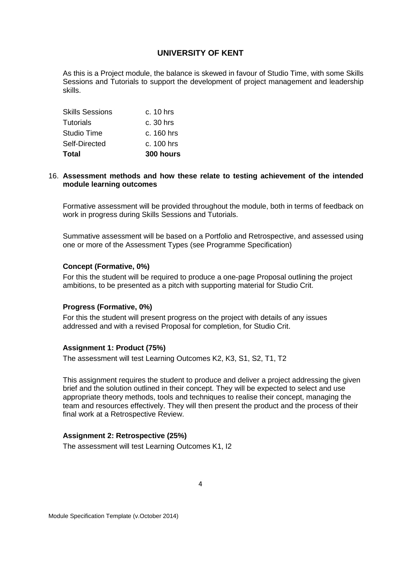As this is a Project module, the balance is skewed in favour of Studio Time, with some Skills Sessions and Tutorials to support the development of project management and leadership skills.

| Total           | 300 hours    |
|-----------------|--------------|
| Self-Directed   | c. 100 hrs   |
| Studio Time     | $c. 160$ hrs |
| Tutorials       | c. 30 hrs    |
| Skills Sessions | c. 10 hrs    |

#### 16. **Assessment methods and how these relate to testing achievement of the intended module learning outcomes**

Formative assessment will be provided throughout the module, both in terms of feedback on work in progress during Skills Sessions and Tutorials.

Summative assessment will be based on a Portfolio and Retrospective, and assessed using one or more of the Assessment Types (see Programme Specification)

### **Concept (Formative, 0%)**

For this the student will be required to produce a one-page Proposal outlining the project ambitions, to be presented as a pitch with supporting material for Studio Crit.

#### **Progress (Formative, 0%)**

For this the student will present progress on the project with details of any issues addressed and with a revised Proposal for completion, for Studio Crit.

#### **Assignment 1: Product (75%)**

The assessment will test Learning Outcomes K2, K3, S1, S2, T1, T2

This assignment requires the student to produce and deliver a project addressing the given brief and the solution outlined in their concept. They will be expected to select and use appropriate theory methods, tools and techniques to realise their concept, managing the team and resources effectively. They will then present the product and the process of their final work at a Retrospective Review.

#### **Assignment 2: Retrospective (25%)**

The assessment will test Learning Outcomes K1, I2